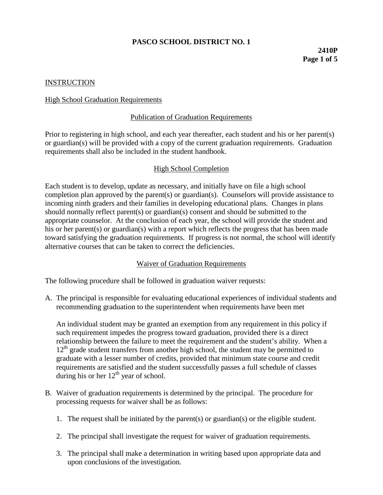# **PASCO SCHOOL DISTRICT NO. 1**

# **2410P Page 1 of 5**

## **INSTRUCTION**

#### **High School Graduation Requirements**

## Publication of Graduation Requirements

Prior to registering in high school, and each year thereafter, each student and his or her parent(s) or guardian(s) will be provided with a copy of the current graduation requirements. Graduation requirements shall also be included in the student handbook.

## High School Completion

Each student is to develop, update as necessary, and initially have on file a high school completion plan approved by the parent(s) or guardian(s). Counselors will provide assistance to incoming ninth graders and their families in developing educational plans. Changes in plans should normally reflect parent(s) or guardian(s) consent and should be submitted to the appropriate counselor. At the conclusion of each year, the school will provide the student and his or her parent(s) or guardian(s) with a report which reflects the progress that has been made toward satisfying the graduation requirements. If progress is not normal, the school will identify alternative courses that can be taken to correct the deficiencies.

#### Waiver of Graduation Requirements

The following procedure shall be followed in graduation waiver requests:

A. The principal is responsible for evaluating educational experiences of individual students and recommending graduation to the superintendent when requirements have been met

An individual student may be granted an exemption from any requirement in this policy if such requirement impedes the progress toward graduation, provided there is a direct relationship between the failure to meet the requirement and the student's ability. When a  $12<sup>th</sup>$  grade student transfers from another high school, the student may be permitted to graduate with a lesser number of credits, provided that minimum state course and credit requirements are satisfied and the student successfully passes a full schedule of classes during his or her  $12<sup>th</sup>$  year of school.

- B. Waiver of graduation requirements is determined by the principal. The procedure for processing requests for waiver shall be as follows:
	- 1. The request shall be initiated by the parent(s) or guardian(s) or the eligible student.
	- 2. The principal shall investigate the request for waiver of graduation requirements.
	- 3. The principal shall make a determination in writing based upon appropriate data and upon conclusions of the investigation.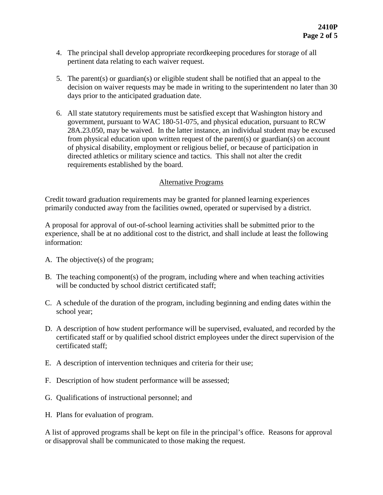- 4. The principal shall develop appropriate recordkeeping procedures for storage of all pertinent data relating to each waiver request.
- 5. The parent(s) or guardian(s) or eligible student shall be notified that an appeal to the decision on waiver requests may be made in writing to the superintendent no later than 30 days prior to the anticipated graduation date.
- 6. All state statutory requirements must be satisfied except that Washington history and government, pursuant to WAC 180-51-075, and physical education, pursuant to RCW 28A.23.050, may be waived. In the latter instance, an individual student may be excused from physical education upon written request of the parent(s) or guardian(s) on account of physical disability, employment or religious belief, or because of participation in directed athletics or military science and tactics. This shall not alter the credit requirements established by the board.

## Alternative Programs

Credit toward graduation requirements may be granted for planned learning experiences primarily conducted away from the facilities owned, operated or supervised by a district.

A proposal for approval of out-of-school learning activities shall be submitted prior to the experience, shall be at no additional cost to the district, and shall include at least the following information:

- A. The objective(s) of the program;
- B. The teaching component(s) of the program, including where and when teaching activities will be conducted by school district certificated staff;
- C. A schedule of the duration of the program, including beginning and ending dates within the school year;
- D. A description of how student performance will be supervised, evaluated, and recorded by the certificated staff or by qualified school district employees under the direct supervision of the certificated staff;
- E. A description of intervention techniques and criteria for their use;
- F. Description of how student performance will be assessed;
- G. Qualifications of instructional personnel; and
- H. Plans for evaluation of program.

A list of approved programs shall be kept on file in the principal's office. Reasons for approval or disapproval shall be communicated to those making the request.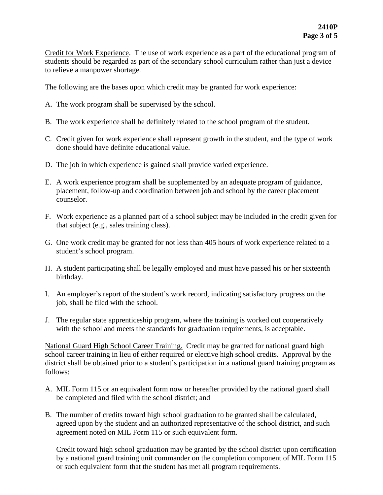Credit for Work Experience. The use of work experience as a part of the educational program of students should be regarded as part of the secondary school curriculum rather than just a device to relieve a manpower shortage.

The following are the bases upon which credit may be granted for work experience:

- A. The work program shall be supervised by the school.
- B. The work experience shall be definitely related to the school program of the student.
- C. Credit given for work experience shall represent growth in the student, and the type of work done should have definite educational value.
- D. The job in which experience is gained shall provide varied experience.
- E. A work experience program shall be supplemented by an adequate program of guidance, placement, follow-up and coordination between job and school by the career placement counselor.
- F. Work experience as a planned part of a school subject may be included in the credit given for that subject (e.g., sales training class).
- G. One work credit may be granted for not less than 405 hours of work experience related to a student's school program.
- H. A student participating shall be legally employed and must have passed his or her sixteenth birthday.
- I. An employer's report of the student's work record, indicating satisfactory progress on the job, shall be filed with the school.
- J. The regular state apprenticeship program, where the training is worked out cooperatively with the school and meets the standards for graduation requirements, is acceptable.

National Guard High School Career Training. Credit may be granted for national guard high school career training in lieu of either required or elective high school credits. Approval by the district shall be obtained prior to a student's participation in a national guard training program as follows:

- A. MIL Form 115 or an equivalent form now or hereafter provided by the national guard shall be completed and filed with the school district; and
- B. The number of credits toward high school graduation to be granted shall be calculated, agreed upon by the student and an authorized representative of the school district, and such agreement noted on MIL Form 115 or such equivalent form.

Credit toward high school graduation may be granted by the school district upon certification by a national guard training unit commander on the completion component of MIL Form 115 or such equivalent form that the student has met all program requirements.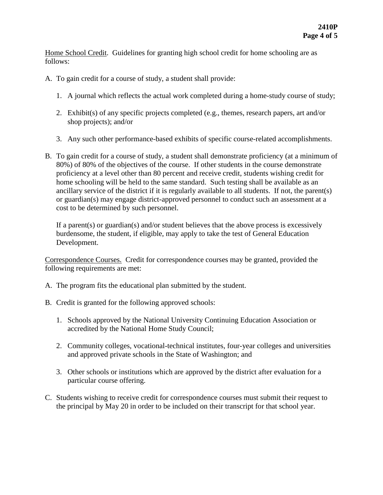Home School Credit. Guidelines for granting high school credit for home schooling are as follows:

- A. To gain credit for a course of study, a student shall provide:
	- 1. A journal which reflects the actual work completed during a home-study course of study;
	- 2. Exhibit(s) of any specific projects completed (e.g., themes, research papers, art and/or shop projects); and/or
	- 3. Any such other performance-based exhibits of specific course-related accomplishments.
- B. To gain credit for a course of study, a student shall demonstrate proficiency (at a minimum of 80%) of 80% of the objectives of the course. If other students in the course demonstrate proficiency at a level other than 80 percent and receive credit, students wishing credit for home schooling will be held to the same standard. Such testing shall be available as an ancillary service of the district if it is regularly available to all students. If not, the parent(s) or guardian(s) may engage district-approved personnel to conduct such an assessment at a cost to be determined by such personnel.

If a parent(s) or guardian(s) and/or student believes that the above process is excessively burdensome, the student, if eligible, may apply to take the test of General Education Development.

Correspondence Courses. Credit for correspondence courses may be granted, provided the following requirements are met:

- A. The program fits the educational plan submitted by the student.
- B. Credit is granted for the following approved schools:
	- 1. Schools approved by the National University Continuing Education Association or accredited by the National Home Study Council;
	- 2. Community colleges, vocational-technical institutes, four-year colleges and universities and approved private schools in the State of Washington; and
	- 3. Other schools or institutions which are approved by the district after evaluation for a particular course offering.
- C. Students wishing to receive credit for correspondence courses must submit their request to the principal by May 20 in order to be included on their transcript for that school year.